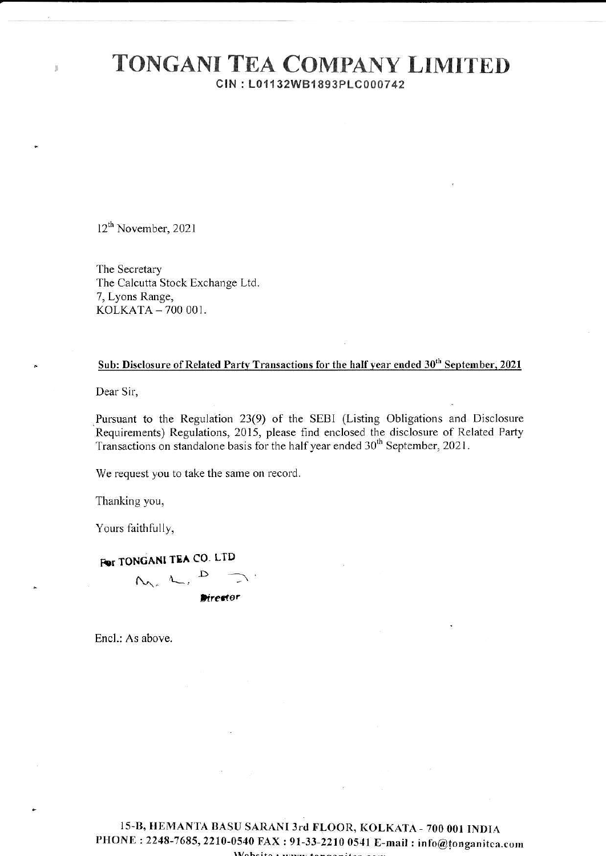## **TONGANI TEA COMPANY LIMITED** CIN: L01132WB1893PLC000742

 $12^{th}$  November, 2021

ä

The Secretary The Calcutta Stock Exchange Ltd. 7, Lyons Range, KOLKATA - 700 001.

## Sub: Disclosure of Related Party Transactions for the half year ended 30<sup>th</sup> September, 2021

Dear Sir.

Pursuant to the Regulation 23(9) of the SEBI (Listing Obligations and Disclosure Requirements) Regulations, 2015, please find enclosed the disclosure of Related Party Transactions on standalone basis for the half year ended 30<sup>th</sup> September, 2021.

We request you to take the same on record.

Thanking you,

Yours faithfully,

## **Por TONGANI TEA CO. LTD**

 $N_{22}$   $L_{12}$ Director

Encl.: As above.